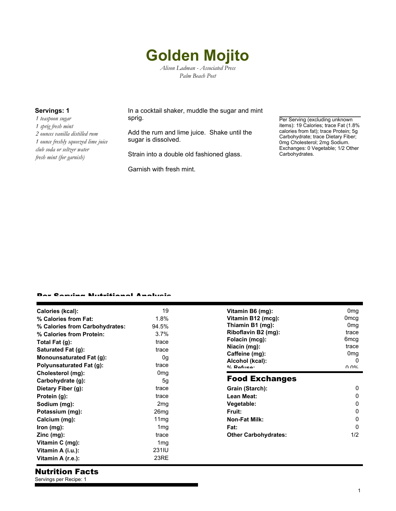## **Golden Mojito** *Alison Ladman - Associated Press*

*Palm Beach Post*

*1 teaspoon sugar 1 sprig fresh mint 2 ounces vanilla distilled rum 1 ounce freshly squeezed lime juice club soda or seltzer water fresh mint (for garnish)*

**Servings: 1** In a cocktail shaker, muddle the sugar and mint sprig.

> Add the rum and lime juice. Shake until the sugar is dissolved.

Strain into a double old fashioned glass.

Garnish with fresh mint.

Per Serving (excluding unknown items): 19 Calories; trace Fat (1.8% calories from fat); trace Protein; 5g Carbohydrate; trace Dietary Fiber; 0mg Cholesterol; 2mg Sodium. Exchanges: 0 Vegetable; 1/2 Other Carbohydrates.

## er Camilan Nutritional Analysis

| Calories (kcal):               | 19               |  |
|--------------------------------|------------------|--|
| % Calories from Fat:           | 1.8%             |  |
| % Calories from Carbohydrates: | 94.5%            |  |
| % Calories from Protein:       | $3.7\%$          |  |
| Total Fat (g):                 | trace            |  |
| Saturated Fat (g):             | trace            |  |
| Monounsaturated Fat (g):       | 0q               |  |
| Polyunsaturated Fat (g):       | trace            |  |
| Cholesterol (mg):              | 0 <sub>mg</sub>  |  |
| Carbohydrate (g):              | 5g               |  |
| Dietary Fiber (g):             | trace            |  |
| Protein (g):                   | trace            |  |
| Sodium (mg):                   | 2 <sub>mg</sub>  |  |
| Potassium (mg):                | 26 <sub>mg</sub> |  |
| Calcium (mg):                  | 11 <sub>mq</sub> |  |
| $lron$ (mg):                   | 1 <sub>mg</sub>  |  |
| $\mathsf{Zinc}\ (mg)$ :        | trace            |  |
| Vitamin C (mg):                | 1 <sub>mg</sub>  |  |
| Vitamin A (i.u.):              | 231IU            |  |
| Vitamin A (r.e.):              | 23RE             |  |

| Vitamin B6 (mg):<br>Vitamin B12 (mcg):<br>Thiamin B1 (mg):<br>Riboflavin B2 (mg):<br>Folacin (mcg):<br>Niacin (mg):<br>Caffeine (mg):<br>Alcohol (kcal):<br>$0/$ Dofuso: | 0mg<br>0mcg<br>0mg<br>trace<br>6mcg<br>trace<br>0 <sub>mg</sub><br>n<br>በ በ% |
|--------------------------------------------------------------------------------------------------------------------------------------------------------------------------|------------------------------------------------------------------------------|
| <b>Food Exchanges</b>                                                                                                                                                    |                                                                              |
| Grain (Starch):                                                                                                                                                          |                                                                              |
| Lean Meat:                                                                                                                                                               | 0                                                                            |
| Vegetable:                                                                                                                                                               | n                                                                            |
| Fruit:                                                                                                                                                                   | ი                                                                            |
| <b>Non-Fat Milk:</b>                                                                                                                                                     | ŋ                                                                            |
| Fat:                                                                                                                                                                     | n                                                                            |
| <b>Other Carbohydrates:</b>                                                                                                                                              | 1/2                                                                          |
|                                                                                                                                                                          |                                                                              |

## Nutrition Facts

Servings per Recipe: 1